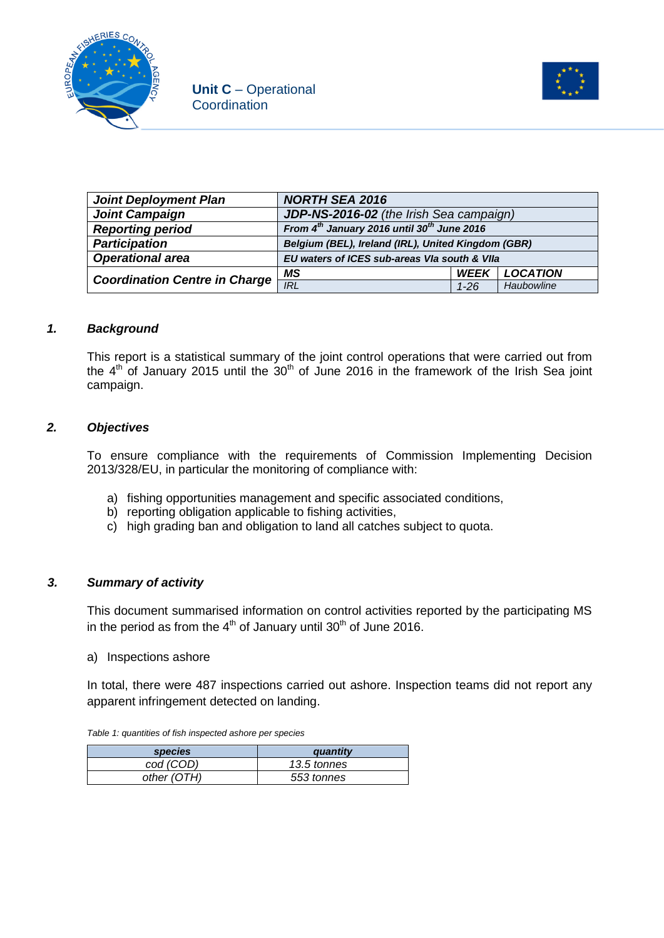



| <b>Joint Deployment Plan</b>         | <b>NORTH SEA 2016</b>                                       |             |                 |
|--------------------------------------|-------------------------------------------------------------|-------------|-----------------|
| <b>Joint Campaign</b>                | JDP-NS-2016-02 (the Irish Sea campaign)                     |             |                 |
| <b>Reporting period</b>              | From $4^{th}$ January 2016 until 30 <sup>th</sup> June 2016 |             |                 |
| <b>Participation</b>                 | Belgium (BEL), Ireland (IRL), United Kingdom (GBR)          |             |                 |
| <b>Operational area</b>              | EU waters of ICES sub-areas VIa south & VIIa                |             |                 |
| <b>Coordination Centre in Charge</b> | MS                                                          | <b>WFFK</b> | <b>LOCATION</b> |
|                                      | <b>IRL</b>                                                  | $1 - 26$    | Haubowline      |

### *1. Background*

This report is a statistical summary of the joint control operations that were carried out from the  $4<sup>th</sup>$  of January 2015 until the  $30<sup>th</sup>$  of June 2016 in the framework of the Irish Sea joint campaign.

### *2. Objectives*

To ensure compliance with the requirements of Commission Implementing Decision 2013/328/EU, in particular the monitoring of compliance with:

- a) fishing opportunities management and specific associated conditions,
- b) reporting obligation applicable to fishing activities,
- c) high grading ban and obligation to land all catches subject to quota.

### *3. Summary of activity*

This document summarised information on control activities reported by the participating MS in the period as from the  $4<sup>th</sup>$  of January until 30<sup>th</sup> of June 2016.

a) Inspections ashore

In total, there were 487 inspections carried out ashore. Inspection teams did not report any apparent infringement detected on landing.

*Table 1: quantities of fish inspected ashore per species*

| <i>species</i> | auantity    |
|----------------|-------------|
| cod (COD)      | 13.5 tonnes |
| other (OTH)    | 553 tonnes  |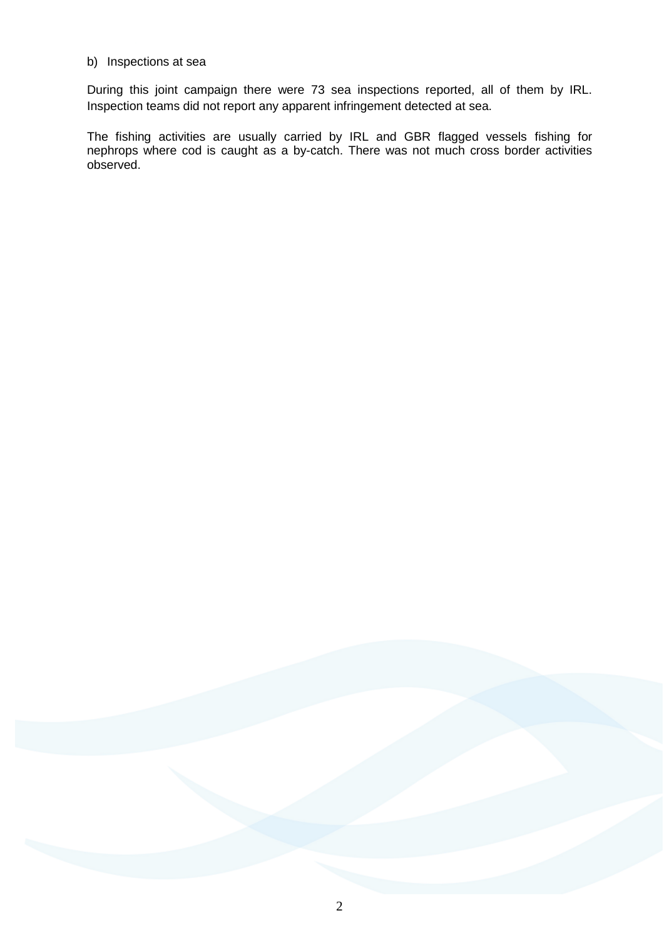#### b) Inspections at sea

During this joint campaign there were 73 sea inspections reported, all of them by IRL. Inspection teams did not report any apparent infringement detected at sea.

The fishing activities are usually carried by IRL and GBR flagged vessels fishing for nephrops where cod is caught as a by-catch. There was not much cross border activities observed.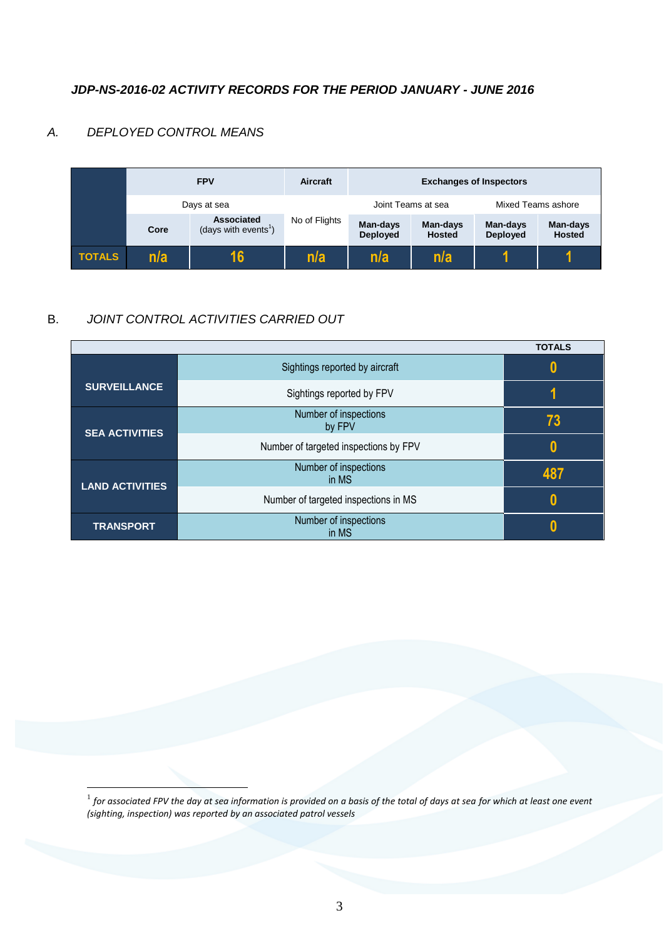### *JDP-NS-2016-02 ACTIVITY RECORDS FOR THE PERIOD JANUARY - JUNE 2016*

### *A. DEPLOYED CONTROL MEANS*

<u>.</u>



## B. *JOINT CONTROL ACTIVITIES CARRIED OUT*

|                        |                                       | <b>TOTALS</b> |
|------------------------|---------------------------------------|---------------|
|                        | Sightings reported by aircraft        | 0             |
| <b>SURVEILLANCE</b>    | Sightings reported by FPV             |               |
| <b>SEA ACTIVITIES</b>  | Number of inspections<br>by FPV       | 73            |
|                        | Number of targeted inspections by FPV | 0             |
| <b>LAND ACTIVITIES</b> | Number of inspections<br>in MS        | 487           |
|                        | Number of targeted inspections in MS  | 0             |
| <b>TRANSPORT</b>       | Number of inspections<br>in MS        |               |

 $^{\rm 1}$  for associated FPV the day at sea information is provided on a basis of the total of days at sea for which at least one event *(sighting, inspection) was reported by an associated patrol vessels*